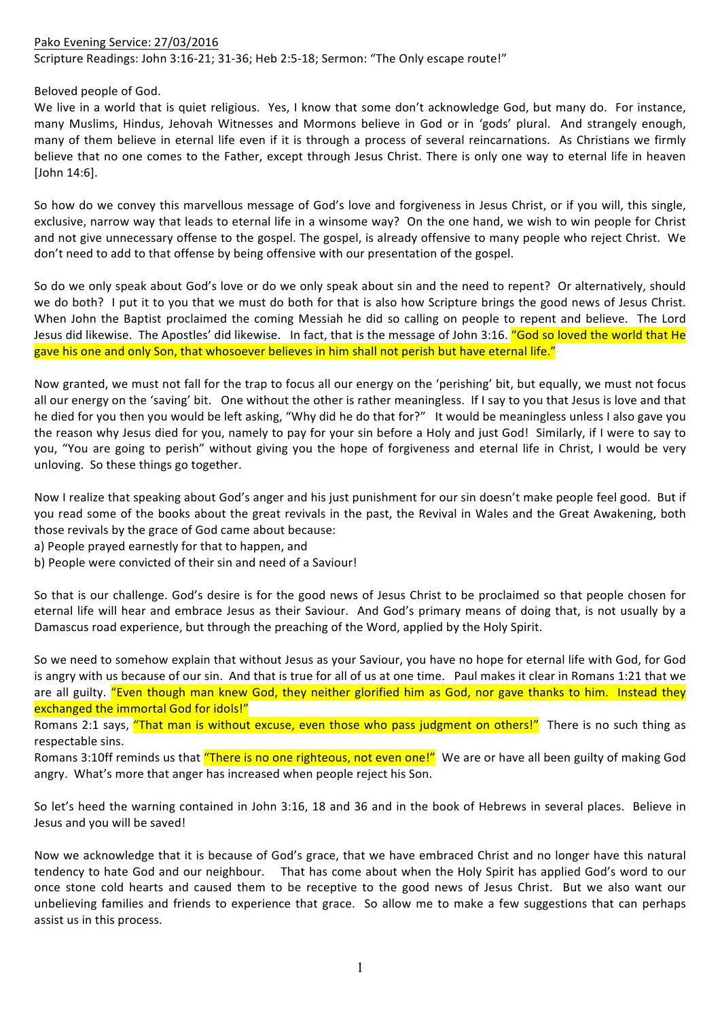## Pako Evening Service: 27/03/2016 Scripture Readings: John 3:16-21; 31-36; Heb 2:5-18; Sermon: "The Only escape route!"

Beloved people of God.

We live in a world that is quiet religious. Yes, I know that some don't acknowledge God, but many do. For instance, many Muslims, Hindus, Jehovah Witnesses and Mormons believe in God or in 'gods' plural. And strangely enough, many of them believe in eternal life even if it is through a process of several reincarnations. As Christians we firmly believe that no one comes to the Father, except through Jesus Christ. There is only one way to eternal life in heaven [John 14:6].

So how do we convey this marvellous message of God's love and forgiveness in Jesus Christ, or if you will, this single, exclusive, narrow way that leads to eternal life in a winsome way? On the one hand, we wish to win people for Christ and not give unnecessary offense to the gospel. The gospel, is already offensive to many people who reject Christ. We don't need to add to that offense by being offensive with our presentation of the gospel.

So do we only speak about God's love or do we only speak about sin and the need to repent? Or alternatively, should we do both? I put it to you that we must do both for that is also how Scripture brings the good news of Jesus Christ. When John the Baptist proclaimed the coming Messiah he did so calling on people to repent and believe. The Lord Jesus did likewise. The Apostles' did likewise. In fact, that is the message of John 3:16. "God so loved the world that He gave his one and only Son, that whosoever believes in him shall not perish but have eternal life."

Now granted, we must not fall for the trap to focus all our energy on the 'perishing' bit, but equally, we must not focus all our energy on the 'saving' bit. One without the other is rather meaningless. If I say to you that Jesus is love and that he died for you then you would be left asking, "Why did he do that for?" It would be meaningless unless I also gave you the reason why Jesus died for you, namely to pay for your sin before a Holy and just God! Similarly, if I were to say to you, "You are going to perish" without giving you the hope of forgiveness and eternal life in Christ, I would be very unloving. So these things go together.

Now I realize that speaking about God's anger and his just punishment for our sin doesn't make people feel good. But if you read some of the books about the great revivals in the past, the Revival in Wales and the Great Awakening, both those revivals by the grace of God came about because:

- a) People prayed earnestly for that to happen, and
- b) People were convicted of their sin and need of a Saviour!

So that is our challenge. God's desire is for the good news of Jesus Christ to be proclaimed so that people chosen for eternal life will hear and embrace Jesus as their Saviour. And God's primary means of doing that, is not usually by a Damascus road experience, but through the preaching of the Word, applied by the Holy Spirit.

So we need to somehow explain that without Jesus as your Saviour, you have no hope for eternal life with God, for God is angry with us because of our sin. And that is true for all of us at one time. Paul makes it clear in Romans 1:21 that we are all guilty. "Even though man knew God, they neither glorified him as God, nor gave thanks to him. Instead they exchanged the immortal God for idols!"

Romans 2:1 says, "That man is without excuse, even those who pass judgment on others!" There is no such thing as respectable sins.

Romans 3:10ff reminds us that "There is no one righteous, not even one!" We are or have all been guilty of making God angry. What's more that anger has increased when people reject his Son.

So let's heed the warning contained in John 3:16, 18 and 36 and in the book of Hebrews in several places. Believe in Jesus and you will be saved!

Now we acknowledge that it is because of God's grace, that we have embraced Christ and no longer have this natural tendency to hate God and our neighbour. That has come about when the Holy Spirit has applied God's word to our once stone cold hearts and caused them to be receptive to the good news of Jesus Christ. But we also want our unbelieving families and friends to experience that grace. So allow me to make a few suggestions that can perhaps assist us in this process.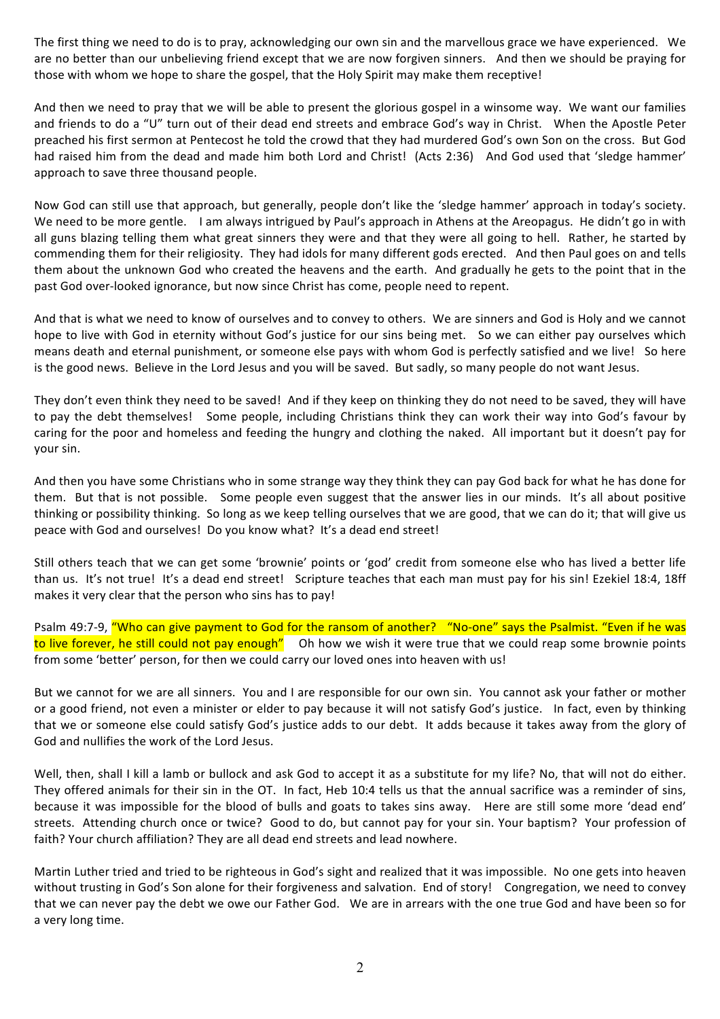The first thing we need to do is to pray, acknowledging our own sin and the marvellous grace we have experienced. We are no better than our unbelieving friend except that we are now forgiven sinners. And then we should be praying for those with whom we hope to share the gospel, that the Holy Spirit may make them receptive!

And then we need to pray that we will be able to present the glorious gospel in a winsome way. We want our families and friends to do a "U" turn out of their dead end streets and embrace God's way in Christ. When the Apostle Peter preached his first sermon at Pentecost he told the crowd that they had murdered God's own Son on the cross. But God had raised him from the dead and made him both Lord and Christ! (Acts 2:36) And God used that 'sledge hammer' approach to save three thousand people.

Now God can still use that approach, but generally, people don't like the 'sledge hammer' approach in today's society. We need to be more gentle. I am always intrigued by Paul's approach in Athens at the Areopagus. He didn't go in with all guns blazing telling them what great sinners they were and that they were all going to hell. Rather, he started by commending them for their religiosity. They had idols for many different gods erected. And then Paul goes on and tells them about the unknown God who created the heavens and the earth. And gradually he gets to the point that in the past God over-looked ignorance, but now since Christ has come, people need to repent.

And that is what we need to know of ourselves and to convey to others. We are sinners and God is Holy and we cannot hope to live with God in eternity without God's justice for our sins being met. So we can either pay ourselves which means death and eternal punishment, or someone else pays with whom God is perfectly satisfied and we live! So here is the good news. Believe in the Lord Jesus and you will be saved. But sadly, so many people do not want Jesus.

They don't even think they need to be saved! And if they keep on thinking they do not need to be saved, they will have to pay the debt themselves! Some people, including Christians think they can work their way into God's favour by caring for the poor and homeless and feeding the hungry and clothing the naked. All important but it doesn't pay for your sin. 

And then you have some Christians who in some strange way they think they can pay God back for what he has done for them. But that is not possible. Some people even suggest that the answer lies in our minds. It's all about positive thinking or possibility thinking. So long as we keep telling ourselves that we are good, that we can do it; that will give us peace with God and ourselves! Do you know what? It's a dead end street!

Still others teach that we can get some 'brownie' points or 'god' credit from someone else who has lived a better life than us. It's not true! It's a dead end street! Scripture teaches that each man must pay for his sin! Ezekiel 18:4, 18ff makes it very clear that the person who sins has to pay!

Psalm 49:7-9, "Who can give payment to God for the ransom of another? "No-one" says the Psalmist. "Even if he was to live forever, he still could not pay enough" Oh how we wish it were true that we could reap some brownie points from some 'better' person, for then we could carry our loved ones into heaven with us!

But we cannot for we are all sinners. You and I are responsible for our own sin. You cannot ask your father or mother or a good friend, not even a minister or elder to pay because it will not satisfy God's justice. In fact, even by thinking that we or someone else could satisfy God's justice adds to our debt. It adds because it takes away from the glory of God and nullifies the work of the Lord Jesus.

Well, then, shall I kill a lamb or bullock and ask God to accept it as a substitute for my life? No, that will not do either. They offered animals for their sin in the OT. In fact, Heb 10:4 tells us that the annual sacrifice was a reminder of sins, because it was impossible for the blood of bulls and goats to takes sins away. Here are still some more 'dead end' streets. Attending church once or twice? Good to do, but cannot pay for your sin. Your baptism? Your profession of faith? Your church affiliation? They are all dead end streets and lead nowhere.

Martin Luther tried and tried to be righteous in God's sight and realized that it was impossible. No one gets into heaven without trusting in God's Son alone for their forgiveness and salvation. End of story! Congregation, we need to convey that we can never pay the debt we owe our Father God. We are in arrears with the one true God and have been so for a very long time.